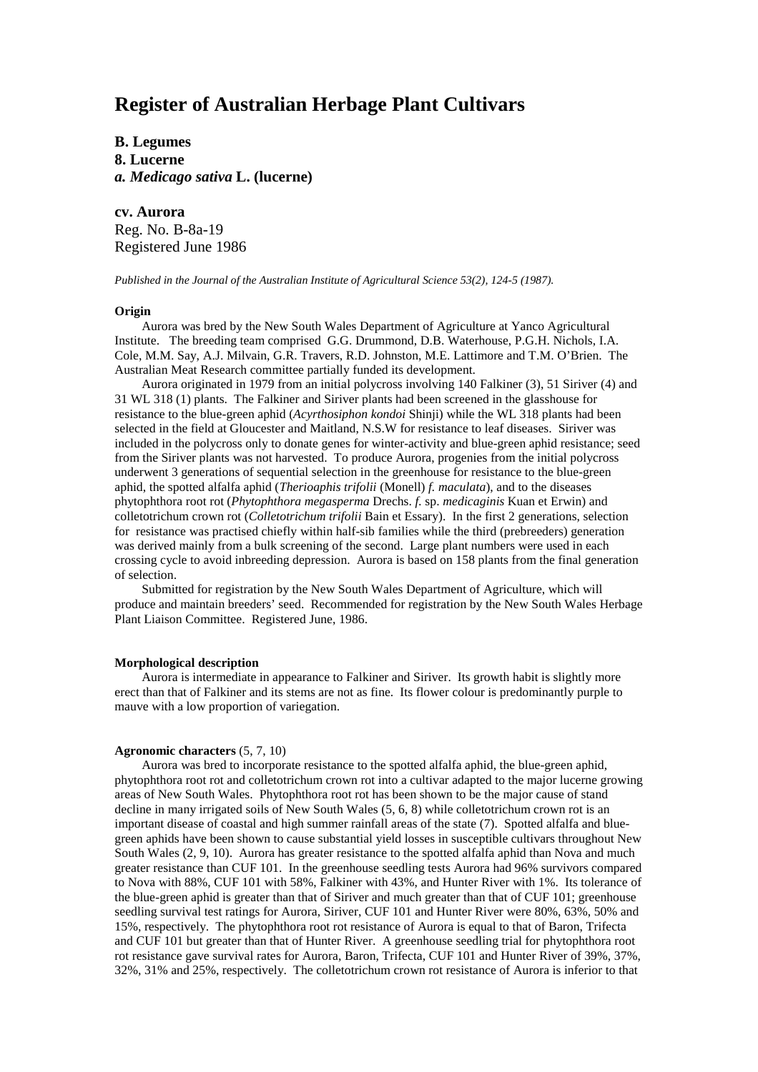# **Register of Australian Herbage Plant Cultivars**

**B. Legumes 8. Lucerne** *a. Medicago sativa* **L. (lucerne)**

**cv. Aurora** Reg. No. B-8a-19 Registered June 1986

*Published in the Journal of the Australian Institute of Agricultural Science 53(2), 124-5 (1987).*

# **Origin**

Aurora was bred by the New South Wales Department of Agriculture at Yanco Agricultural Institute. The breeding team comprised G.G. Drummond, D.B. Waterhouse, P.G.H. Nichols, I.A. Cole, M.M. Say, A.J. Milvain, G.R. Travers, R.D. Johnston, M.E. Lattimore and T.M. O'Brien. The Australian Meat Research committee partially funded its development.

Aurora originated in 1979 from an initial polycross involving 140 Falkiner (3), 51 Siriver (4) and 31 WL 318 (1) plants. The Falkiner and Siriver plants had been screened in the glasshouse for resistance to the blue-green aphid (*Acyrthosiphon kondoi* Shinji) while the WL 318 plants had been selected in the field at Gloucester and Maitland, N.S.W for resistance to leaf diseases. Siriver was included in the polycross only to donate genes for winter-activity and blue-green aphid resistance; seed from the Siriver plants was not harvested. To produce Aurora, progenies from the initial polycross underwent 3 generations of sequential selection in the greenhouse for resistance to the blue-green aphid, the spotted alfalfa aphid (*Therioaphis trifolii* (Monell) *f. maculata*), and to the diseases phytophthora root rot (*Phytophthora megasperma* Drechs. *f.* sp. *medicaginis* Kuan et Erwin) and colletotrichum crown rot (*Colletotrichum trifolii* Bain et Essary). In the first 2 generations, selection for resistance was practised chiefly within half-sib families while the third (prebreeders) generation was derived mainly from a bulk screening of the second. Large plant numbers were used in each crossing cycle to avoid inbreeding depression. Aurora is based on 158 plants from the final generation of selection.

Submitted for registration by the New South Wales Department of Agriculture, which will produce and maintain breeders' seed. Recommended for registration by the New South Wales Herbage Plant Liaison Committee. Registered June, 1986.

### **Morphological description**

Aurora is intermediate in appearance to Falkiner and Siriver. Its growth habit is slightly more erect than that of Falkiner and its stems are not as fine. Its flower colour is predominantly purple to mauve with a low proportion of variegation.

## **Agronomic characters** (5, 7, 10)

Aurora was bred to incorporate resistance to the spotted alfalfa aphid, the blue-green aphid, phytophthora root rot and colletotrichum crown rot into a cultivar adapted to the major lucerne growing areas of New South Wales. Phytophthora root rot has been shown to be the major cause of stand decline in many irrigated soils of New South Wales (5, 6, 8) while colletotrichum crown rot is an important disease of coastal and high summer rainfall areas of the state (7). Spotted alfalfa and bluegreen aphids have been shown to cause substantial yield losses in susceptible cultivars throughout New South Wales (2, 9, 10). Aurora has greater resistance to the spotted alfalfa aphid than Nova and much greater resistance than CUF 101. In the greenhouse seedling tests Aurora had 96% survivors compared to Nova with 88%, CUF 101 with 58%, Falkiner with 43%, and Hunter River with 1%. Its tolerance of the blue-green aphid is greater than that of Siriver and much greater than that of CUF 101; greenhouse seedling survival test ratings for Aurora, Siriver, CUF 101 and Hunter River were 80%, 63%, 50% and 15%, respectively. The phytophthora root rot resistance of Aurora is equal to that of Baron, Trifecta and CUF 101 but greater than that of Hunter River. A greenhouse seedling trial for phytophthora root rot resistance gave survival rates for Aurora, Baron, Trifecta, CUF 101 and Hunter River of 39%, 37%, 32%, 31% and 25%, respectively. The colletotrichum crown rot resistance of Aurora is inferior to that